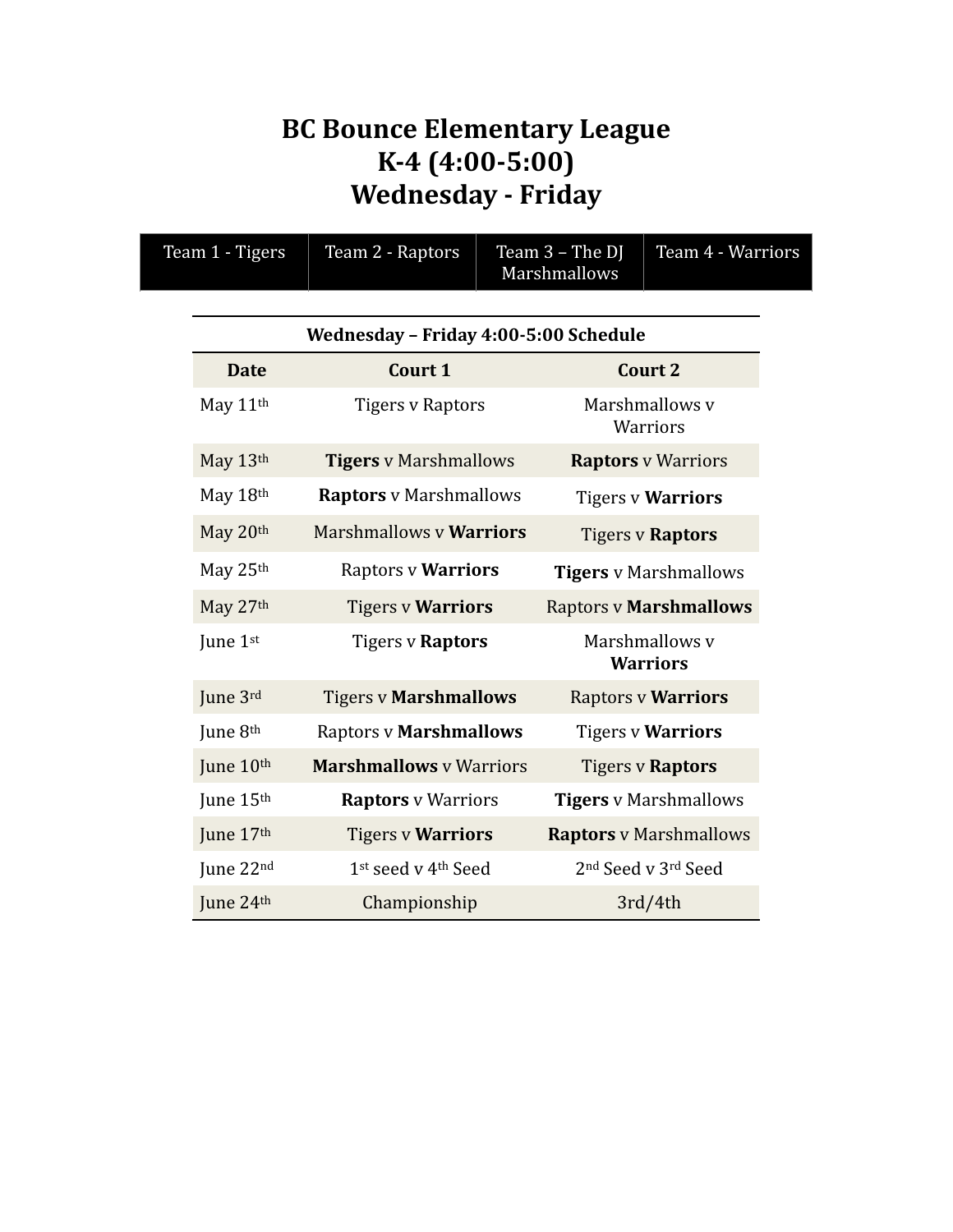# **BC Bounce Elementary League K-4 (4:00-5:00) Wednesday - Friday**

| Team 1 - Tigers | Team 2 - Raptors                      | Team 3 - The DJ<br>Marshmallows | Team 4 - Warriors                           |
|-----------------|---------------------------------------|---------------------------------|---------------------------------------------|
|                 | Wednesday - Friday 4:00-5:00 Schedule |                                 |                                             |
| <b>Date</b>     | Court 1                               |                                 | <b>Court 2</b>                              |
| May 11th        | <b>Tigers v Raptors</b>               |                                 | Marshmallows v<br>Warriors                  |
| May 13th        | <b>Tigers</b> v Marshmallows          |                                 | <b>Raptors v Warriors</b>                   |
| May 18th        | <b>Raptors</b> v Marshmallows         |                                 | <b>Tigers v Warriors</b>                    |
| May 20th        | <b>Marshmallows v Warriors</b>        |                                 | <b>Tigers v Raptors</b>                     |
| May 25th        | Raptors v Warriors                    |                                 | <b>Tigers</b> v Marshmallows                |
| May 27th        | <b>Tigers v Warriors</b>              |                                 | <b>Raptors v Marshmallows</b>               |
| June 1st        | Tigers v Raptors                      |                                 | Marshmallows v<br><b>Warriors</b>           |
| June 3rd        | <b>Tigers v Marshmallows</b>          |                                 | <b>Raptors v Warriors</b>                   |
| June 8th        | <b>Raptors v Marshmallows</b>         |                                 | <b>Tigers v Warriors</b>                    |
| June 10th       | <b>Marshmallows</b> v Warriors        |                                 | <b>Tigers v Raptors</b>                     |
| June 15th       | <b>Raptors</b> v Warriors             |                                 | <b>Tigers</b> v Marshmallows                |
| June 17th       | <b>Tigers v Warriors</b>              |                                 | <b>Raptors</b> v Marshmallows               |
| June 22nd       | 1st seed v 4th Seed                   |                                 | 2 <sup>nd</sup> Seed v 3 <sup>rd</sup> Seed |
| June 24th       | Championship                          |                                 | 3rd/4th                                     |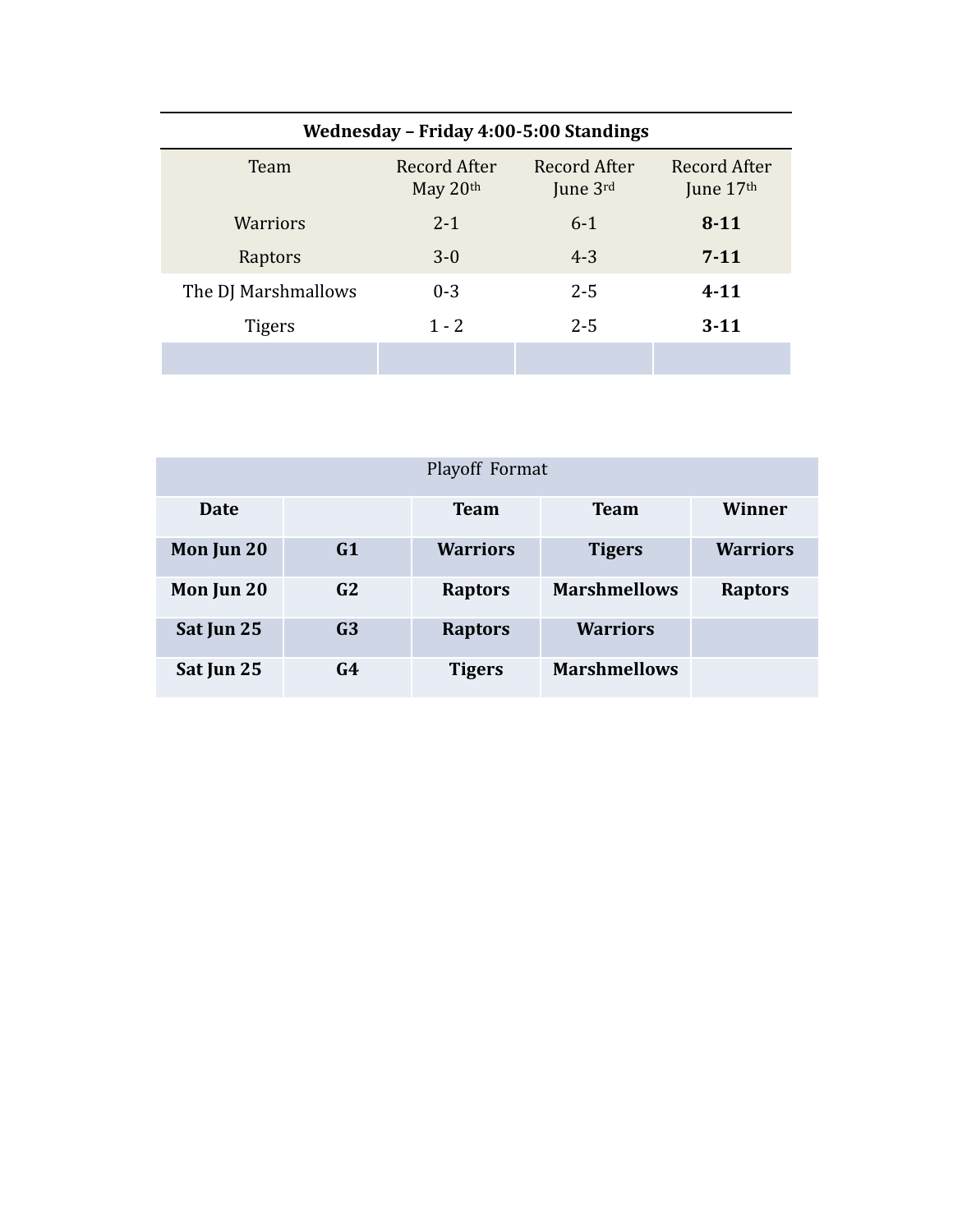| Wednesday - Friday 4:00-5:00 Standings |                            |                          |                             |  |  |
|----------------------------------------|----------------------------|--------------------------|-----------------------------|--|--|
| Team                                   | Record After<br>May $20th$ | Record After<br>June 3rd | Record After<br>June $17th$ |  |  |
| Warriors                               | $2 - 1$                    | $6 - 1$                  | $8 - 11$                    |  |  |
| Raptors                                | $3 - 0$                    | $4 - 3$                  | $7 - 11$                    |  |  |
| The DJ Marshmallows                    | $0 - 3$                    | $2 - 5$                  | $4 - 11$                    |  |  |
| <b>Tigers</b>                          | $1 - 2$                    | $2 - 5$                  | $3 - 11$                    |  |  |
|                                        |                            |                          |                             |  |  |

| Playoff Format |                |                 |                     |                 |
|----------------|----------------|-----------------|---------------------|-----------------|
| Date           |                | <b>Team</b>     | <b>Team</b>         | Winner          |
| Mon Jun 20     | G1             | <b>Warriors</b> | <b>Tigers</b>       | <b>Warriors</b> |
| Mon Jun 20     | G2             | <b>Raptors</b>  | <b>Marshmellows</b> | <b>Raptors</b>  |
| Sat Jun 25     | G <sub>3</sub> | <b>Raptors</b>  | <b>Warriors</b>     |                 |
| Sat Jun 25     | G4             | <b>Tigers</b>   | <b>Marshmellows</b> |                 |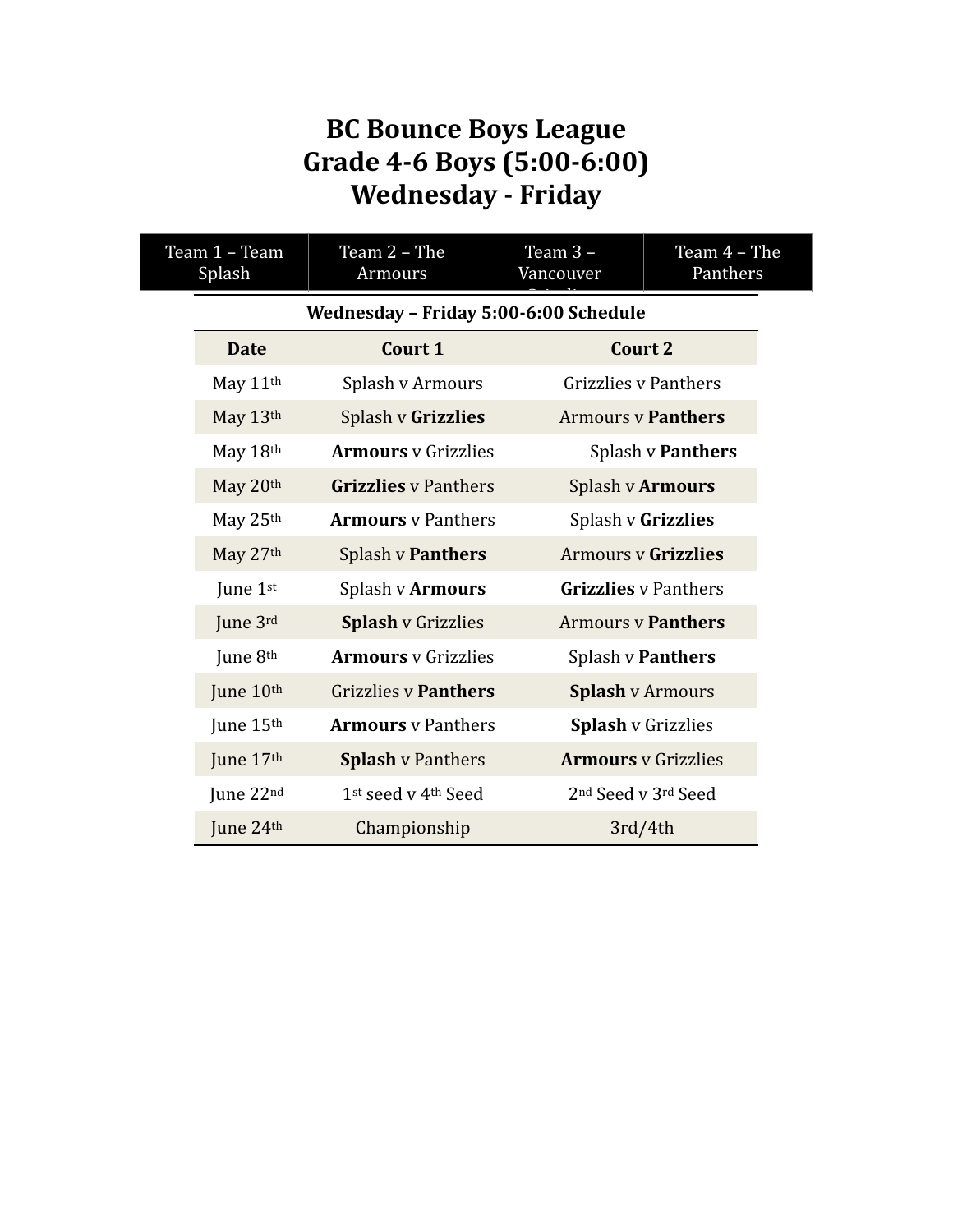# **BC** Bounce Boys League **Grade 4-6 Boys (5:00-6:00) Wednesday - Friday**

| Team 1 - Team<br>Splash |             | Team 2 - The<br>Armours               | Team 3-<br>Vancouver | Team $4$ – The<br>Panthers                  |
|-------------------------|-------------|---------------------------------------|----------------------|---------------------------------------------|
|                         |             | Wednesday - Friday 5:00-6:00 Schedule |                      |                                             |
|                         | <b>Date</b> | Court 1                               |                      | <b>Court 2</b>                              |
|                         | May 11th    | Splash v Armours                      |                      | <b>Grizzlies v Panthers</b>                 |
|                         | May 13th    | Splash v Grizzlies                    |                      | <b>Armours v Panthers</b>                   |
|                         | May 18th    | <b>Armours</b> y Grizzlies            |                      | Splash v Panthers                           |
|                         | May 20th    | <b>Grizzlies</b> y Panthers           |                      | Splash v Armours                            |
|                         | May 25th    | <b>Armours</b> y Panthers             |                      | Splash v Grizzlies                          |
|                         | May 27th    | <b>Splash v Panthers</b>              |                      | <b>Armours v Grizzlies</b>                  |
|                         | June 1st    | Splash v Armours                      |                      | <b>Grizzlies</b> v Panthers                 |
|                         | June 3rd    | <b>Splash v Grizzlies</b>             |                      | <b>Armours y Panthers</b>                   |
|                         | June 8th    | <b>Armours</b> y Grizzlies            |                      | Splash v Panthers                           |
|                         | June 10th   | <b>Grizzlies v Panthers</b>           |                      | <b>Splash v Armours</b>                     |
|                         | June 15th   | <b>Armours</b> v Panthers             |                      | <b>Splash v Grizzlies</b>                   |
|                         | June 17th   | <b>Splash v Panthers</b>              |                      | <b>Armours</b> v Grizzlies                  |
|                         | June 22nd   | 1st seed v 4th Seed                   |                      | 2 <sup>nd</sup> Seed v 3 <sup>rd</sup> Seed |
|                         | June 24th   | Championship                          |                      | 3rd/4th                                     |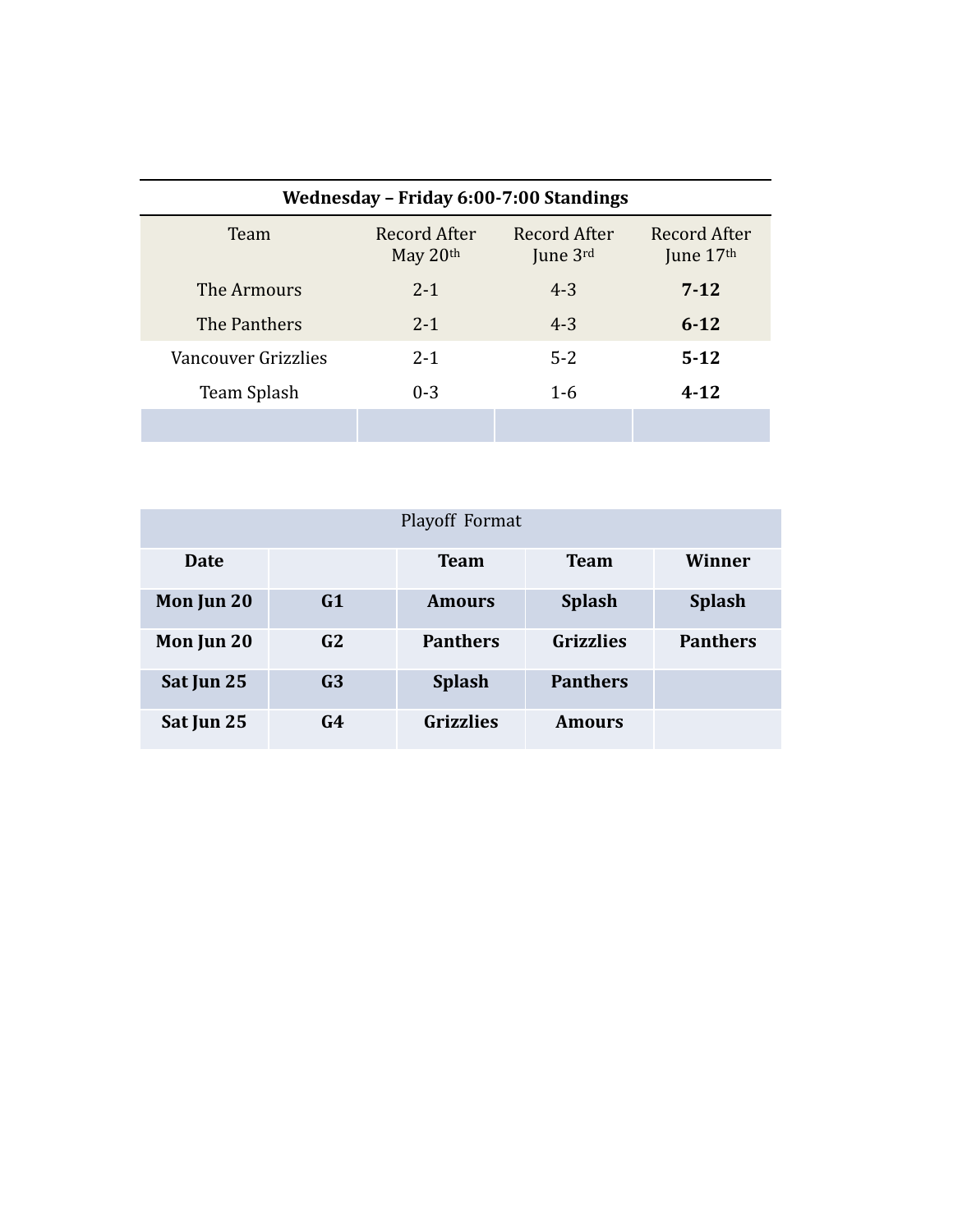| Wednesday - Friday 6:00-7:00 Standings |                            |                          |                           |  |  |
|----------------------------------------|----------------------------|--------------------------|---------------------------|--|--|
| Team                                   | Record After<br>May $20th$ | Record After<br>June 3rd | Record After<br>June 17th |  |  |
| The Armours                            | $2 - 1$                    | $4 - 3$                  | $7-12$                    |  |  |
| The Panthers                           | $2 - 1$                    | $4 - 3$                  | $6 - 12$                  |  |  |
| Vancouver Grizzlies                    | $2 - 1$                    | $5 - 2$                  | $5 - 12$                  |  |  |
| Team Splash                            | $0 - 3$                    | $1 - 6$                  | $4 - 12$                  |  |  |
|                                        |                            |                          |                           |  |  |

| Playoff Format |                |                  |                  |                 |
|----------------|----------------|------------------|------------------|-----------------|
| Date           |                | <b>Team</b>      | <b>Team</b>      | Winner          |
| Mon Jun 20     | G1             | <b>Amours</b>    | <b>Splash</b>    | <b>Splash</b>   |
| Mon Jun 20     | G <sub>2</sub> | <b>Panthers</b>  | <b>Grizzlies</b> | <b>Panthers</b> |
| Sat Jun 25     | G <sub>3</sub> | <b>Splash</b>    | <b>Panthers</b>  |                 |
| Sat Jun 25     | G4             | <b>Grizzlies</b> | <b>Amours</b>    |                 |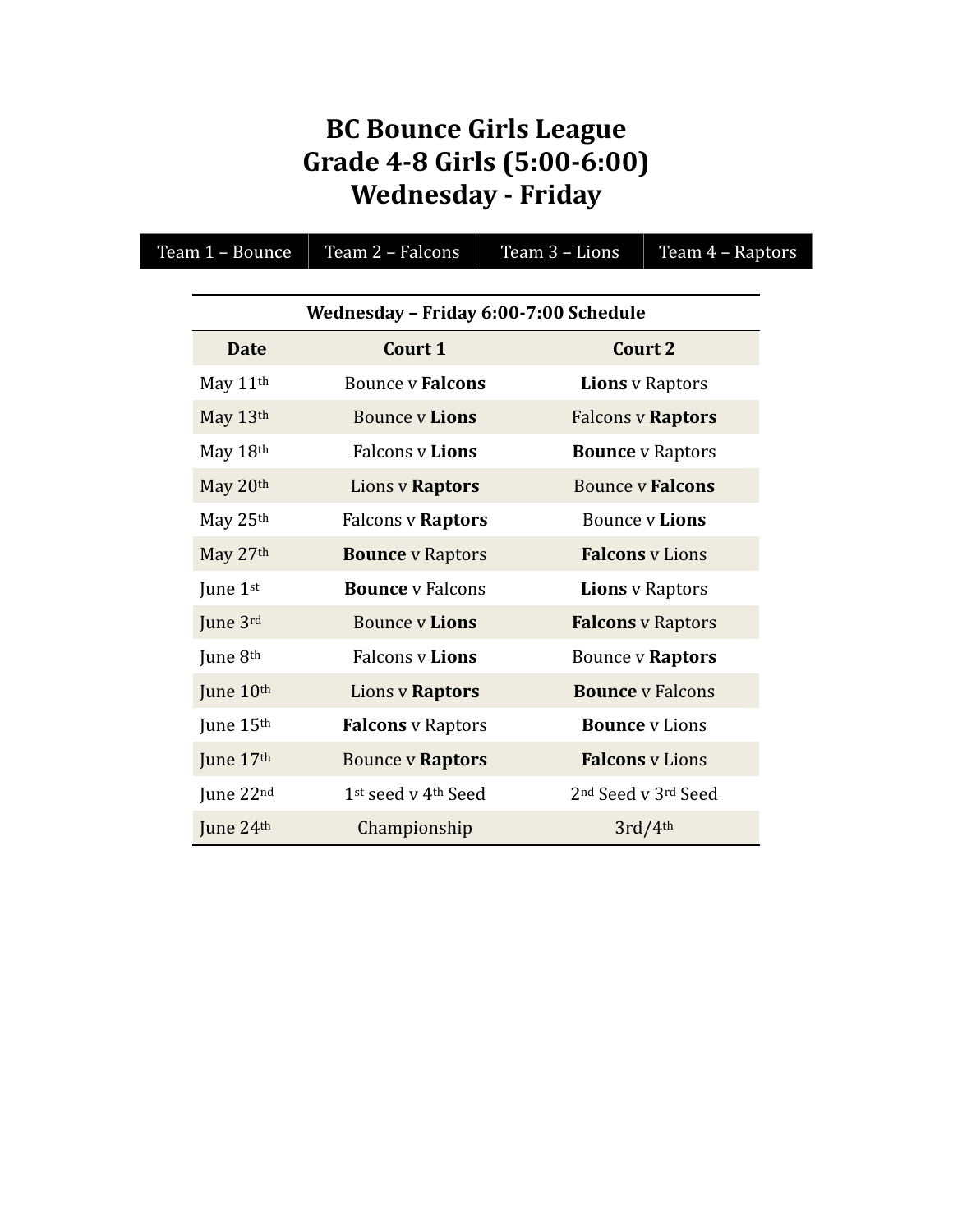## **BC** Bounce Girls League **Grade 4-8 Girls (5:00-6:00) Wednesday - Friday**

| Team 1 - Bounce      | Team 2 - Falcons                      | Team 3 - Lions | Team 4 - Raptors                            |  |
|----------------------|---------------------------------------|----------------|---------------------------------------------|--|
|                      |                                       |                |                                             |  |
|                      | Wednesday - Friday 6:00-7:00 Schedule |                |                                             |  |
| <b>Date</b>          | Court 1                               |                | Court 2                                     |  |
| May 11 <sup>th</sup> | <b>Bounce v Falcons</b>               |                | <b>Lions</b> v Raptors                      |  |
| May 13th             | <b>Bounce v Lions</b>                 |                | <b>Falcons v Raptors</b>                    |  |
| May 18th             | <b>Falcons v Lions</b>                |                | <b>Bounce</b> v Raptors                     |  |
| May 20th             | Lions v Raptors                       |                | <b>Bounce v Falcons</b>                     |  |
| May 25th             | <b>Falcons v Raptors</b>              |                | <b>Bounce v Lions</b>                       |  |
| May 27th             | <b>Bounce</b> v Raptors               |                | <b>Falcons</b> v Lions                      |  |
| June 1st             | <b>Bounce</b> y Falcons               |                | <b>Lions</b> v Raptors                      |  |
| June 3rd             | <b>Bounce v Lions</b>                 |                | <b>Falcons</b> v Raptors                    |  |
| June 8th             | <b>Falcons v Lions</b>                |                | Bounce v Raptors                            |  |
| June 10th            | Lions v Raptors                       |                | <b>Bounce</b> y Falcons                     |  |
| June 15th            | <b>Falcons</b> v Raptors              |                | <b>Bounce</b> v Lions                       |  |
| June 17th            | <b>Bounce v Raptors</b>               |                | <b>Falcons</b> v Lions                      |  |
| June 22nd            | 1st seed v 4th Seed                   |                | 2 <sup>nd</sup> Seed v 3 <sup>rd</sup> Seed |  |
| June 24th            | Championship                          |                | 3rd/4th                                     |  |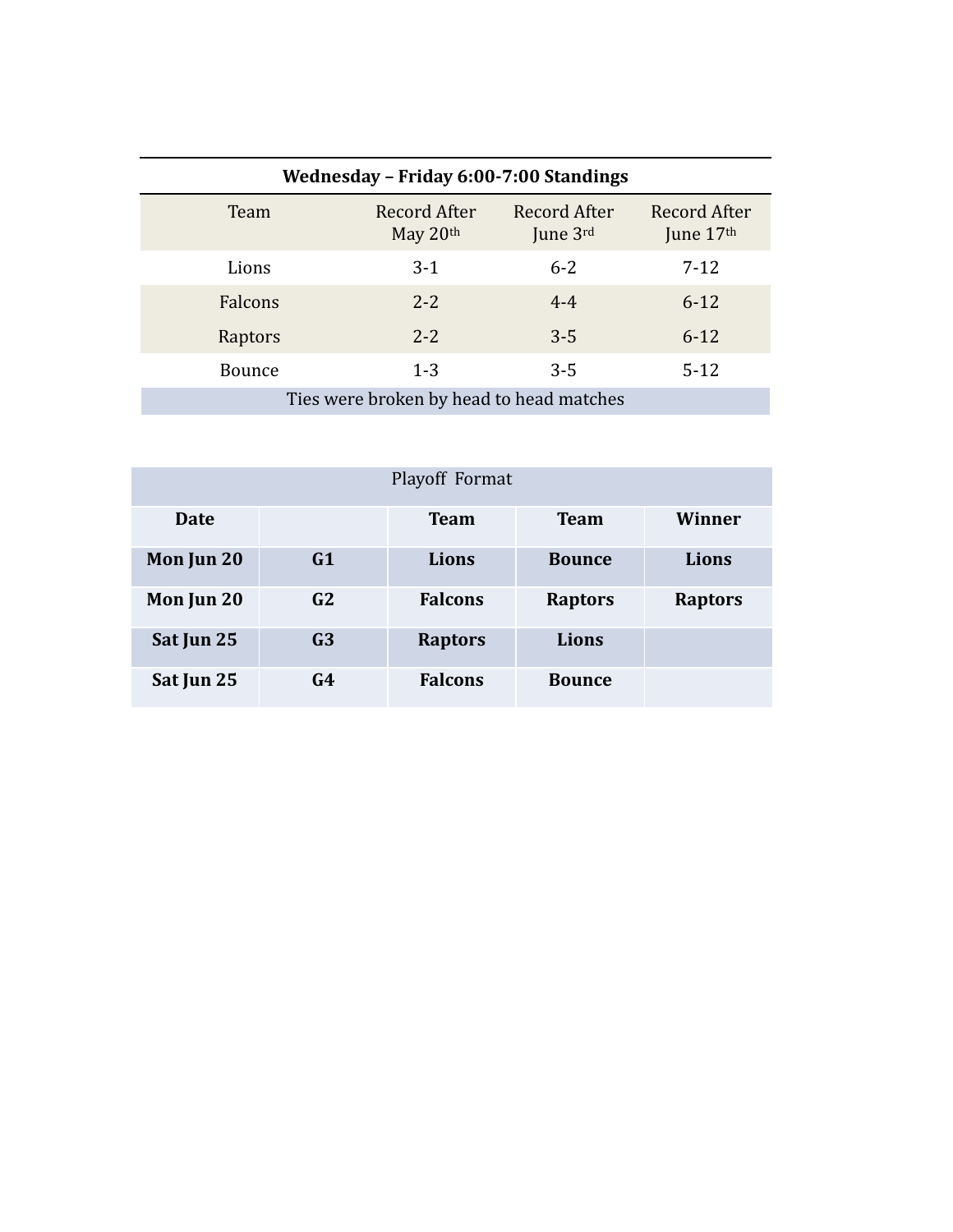| Wednesday - Friday 6:00-7:00 Standings   |                            |                            |                           |  |  |
|------------------------------------------|----------------------------|----------------------------|---------------------------|--|--|
| Team                                     | Record After<br>May $20th$ | Record After<br>June $3rd$ | Record After<br>June 17th |  |  |
| Lions                                    | $3-1$                      | $6 - 2$                    | $7-12$                    |  |  |
| Falcons                                  | $2 - 2$                    | $4 - 4$                    | $6 - 12$                  |  |  |
| Raptors                                  | $2 - 2$                    | $3 - 5$                    | $6 - 12$                  |  |  |
| <b>Bounce</b>                            | $1 - 3$                    | $3 - 5$                    | $5-12$                    |  |  |
| Ties were broken by head to head matches |                            |                            |                           |  |  |

| Playoff Format |                |                |                |                |  |
|----------------|----------------|----------------|----------------|----------------|--|
| <b>Date</b>    |                | <b>Team</b>    | <b>Team</b>    | Winner         |  |
| Mon Jun 20     | G1             | Lions          | <b>Bounce</b>  | Lions          |  |
| Mon Jun 20     | G2             | <b>Falcons</b> | <b>Raptors</b> | <b>Raptors</b> |  |
| Sat Jun 25     | G <sub>3</sub> | <b>Raptors</b> | Lions          |                |  |
| Sat Jun 25     | G4             | <b>Falcons</b> | <b>Bounce</b>  |                |  |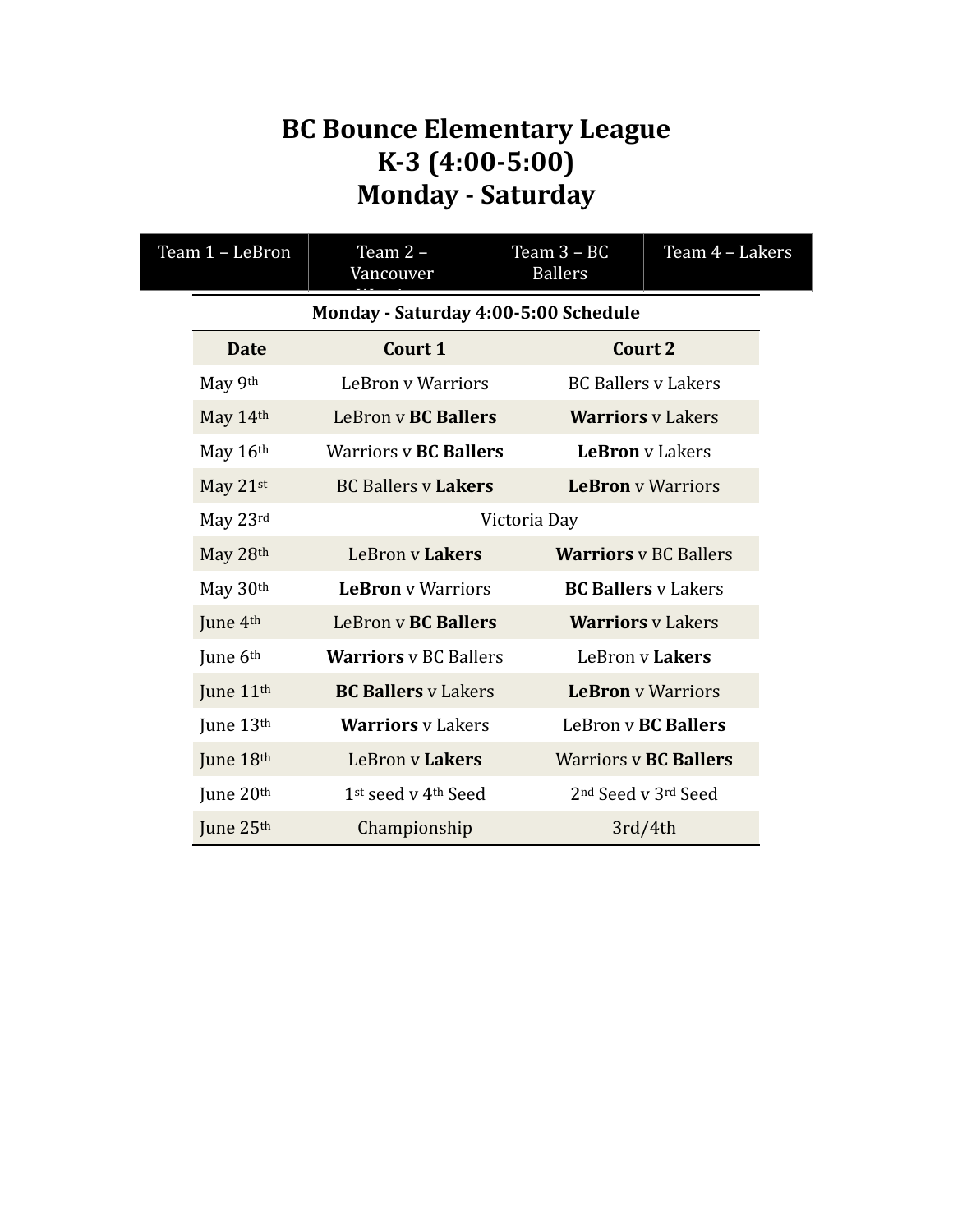#### **BC Bounce Elementary League K-3 (4:00-5:00) Monday - Saturday**

| Team 1 - LeBron |                       | Team 2 -<br>Vancouver                | Team $3 - BC$<br><b>Ballers</b> | Team 4 - Lakers              |
|-----------------|-----------------------|--------------------------------------|---------------------------------|------------------------------|
|                 |                       | Monday - Saturday 4:00-5:00 Schedule |                                 |                              |
|                 | <b>Date</b>           | Court 1                              |                                 | Court 2                      |
|                 | May 9th               | <b>LeBron v Warriors</b>             |                                 | <b>BC Ballers v Lakers</b>   |
|                 | May 14th              | LeBron v <b>BC Ballers</b>           |                                 | <b>Warriors</b> v Lakers     |
|                 | May 16th              | <b>Warriors v BC Ballers</b>         |                                 | <b>LeBron</b> v Lakers       |
|                 | May 21st              | <b>BC Ballers v Lakers</b>           |                                 | <b>LeBron</b> v Warriors     |
|                 | May 23rd              |                                      | Victoria Day                    |                              |
|                 | May 28th              | LeBron v Lakers                      |                                 | <b>Warriors</b> v BC Ballers |
|                 | May 30th              | <b>LeBron</b> v Warriors             |                                 | <b>BC Ballers v Lakers</b>   |
|                 | June 4th              | LeBron v BC Ballers                  |                                 | <b>Warriors</b> v Lakers     |
|                 | June 6th              | <b>Warriors</b> v BC Ballers         |                                 | LeBron v Lakers              |
|                 | June 11 <sup>th</sup> | <b>BC Ballers v Lakers</b>           |                                 | <b>LeBron</b> v Warriors     |
|                 | June 13th             | <b>Warriors</b> v Lakers             |                                 | LeBron v BC Ballers          |
|                 | June 18th             | LeBron v Lakers                      |                                 | <b>Warriors v BC Ballers</b> |
|                 | June 20th             | 1st seed v 4 <sup>th</sup> Seed      |                                 | 2nd Seed v 3rd Seed          |
|                 | June 25th             | Championship                         |                                 | 3rd/4th                      |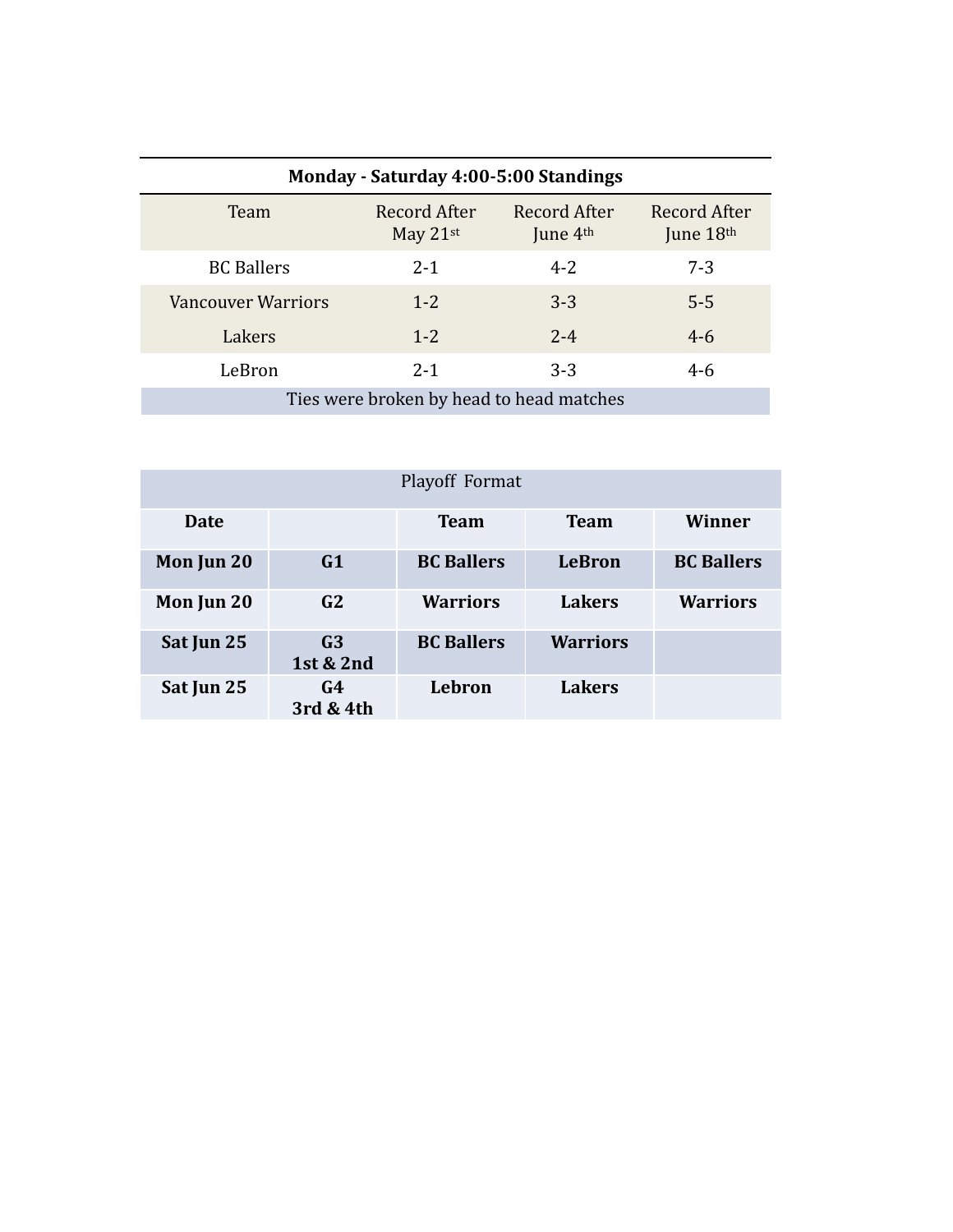| Monday - Saturday 4:00-5:00 Standings |                                          |                            |                             |  |  |
|---------------------------------------|------------------------------------------|----------------------------|-----------------------------|--|--|
| Team                                  | Record After<br>May $21$ <sup>st</sup>   | Record After<br>June $4th$ | Record After<br>June $18th$ |  |  |
| <b>BC</b> Ballers                     | $2 - 1$                                  | $4 - 2$                    | $7 - 3$                     |  |  |
| <b>Vancouver Warriors</b>             | $1 - 2$                                  | $3 - 3$                    | $5 - 5$                     |  |  |
| Lakers                                | $1 - 2$                                  | $2 - 4$                    | $4 - 6$                     |  |  |
| LeBron                                | $2 - 1$                                  | $3 - 3$                    | $4 - 6$                     |  |  |
|                                       | Ties were broken by head to head matches |                            |                             |  |  |

| Playoff Format |                             |                   |                 |                   |  |
|----------------|-----------------------------|-------------------|-----------------|-------------------|--|
| Date           |                             | <b>Team</b>       | <b>Team</b>     | Winner            |  |
| Mon Jun 20     | G <sub>1</sub>              | <b>BC Ballers</b> | <b>LeBron</b>   | <b>BC Ballers</b> |  |
| Mon Jun 20     | G2                          | <b>Warriors</b>   | <b>Lakers</b>   | <b>Warriors</b>   |  |
| Sat Jun 25     | G <sub>3</sub><br>1st & 2nd | <b>BC Ballers</b> | <b>Warriors</b> |                   |  |
| Sat Jun 25     | G4<br>3rd & 4th             | Lebron            | <b>Lakers</b>   |                   |  |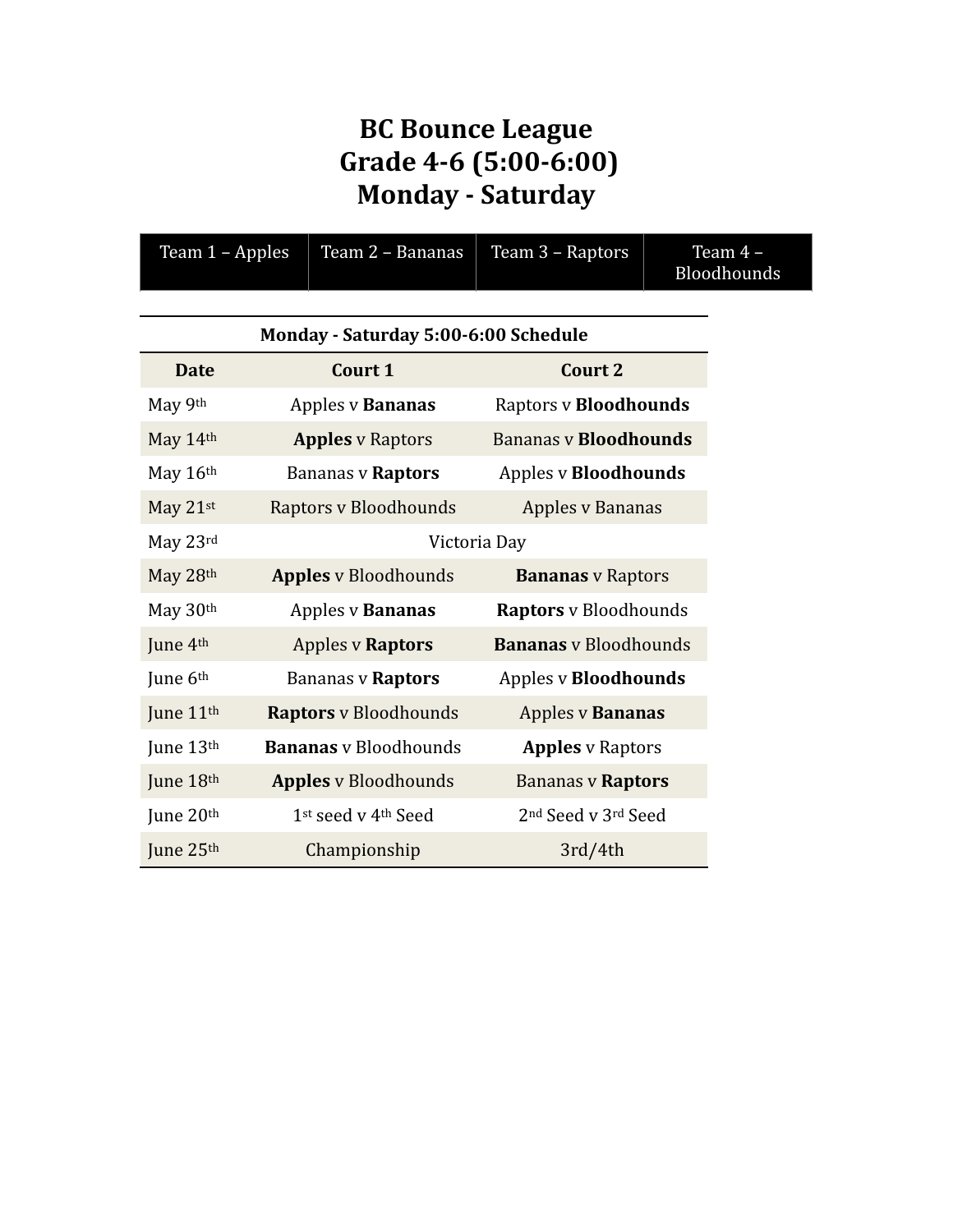## **BC** Bounce League  **Grade 4-6 (5:00-6:00) Monday - Saturday**

| Team 1 - Apples                      | Team 2 - Bananas             | Team 3 - Raptors                            | Team 4 -<br>Bloodhounds |  |  |  |
|--------------------------------------|------------------------------|---------------------------------------------|-------------------------|--|--|--|
| Monday - Saturday 5:00-6:00 Schedule |                              |                                             |                         |  |  |  |
| <b>Date</b>                          | Court 1                      | <b>Court 2</b>                              |                         |  |  |  |
| May 9th                              | Apples v Bananas             | <b>Raptors v Bloodhounds</b>                |                         |  |  |  |
| May 14th                             | <b>Apples v Raptors</b>      | <b>Bananas v Bloodhounds</b>                |                         |  |  |  |
| May 16th                             | <b>Bananas v Raptors</b>     | <b>Apples v Bloodhounds</b>                 |                         |  |  |  |
| May 21st                             | Raptors v Bloodhounds        | <b>Apples v Bananas</b>                     |                         |  |  |  |
| May 23rd                             |                              | Victoria Day                                |                         |  |  |  |
| May 28th                             | <b>Apples</b> v Bloodhounds  | <b>Bananas</b> v Raptors                    |                         |  |  |  |
| May 30th                             | <b>Apples v Bananas</b>      | <b>Raptors</b> v Bloodhounds                |                         |  |  |  |
| June 4 <sup>th</sup>                 | <b>Apples v Raptors</b>      | <b>Bananas</b> v Bloodhounds                |                         |  |  |  |
| June 6th                             | <b>Bananas v Raptors</b>     | <b>Apples v Bloodhounds</b>                 |                         |  |  |  |
| June 11 <sup>th</sup>                | <b>Raptors</b> v Bloodhounds | <b>Apples v Bananas</b>                     |                         |  |  |  |
| June 13th                            | <b>Bananas</b> v Bloodhounds | <b>Apples v Raptors</b>                     |                         |  |  |  |
| June 18th                            | <b>Apples</b> v Bloodhounds  | <b>Bananas v Raptors</b>                    |                         |  |  |  |
| June 20th                            | 1st seed v 4th Seed          | 2 <sup>nd</sup> Seed v 3 <sup>rd</sup> Seed |                         |  |  |  |
| June 25th                            | Championship                 | 3rd/4th                                     |                         |  |  |  |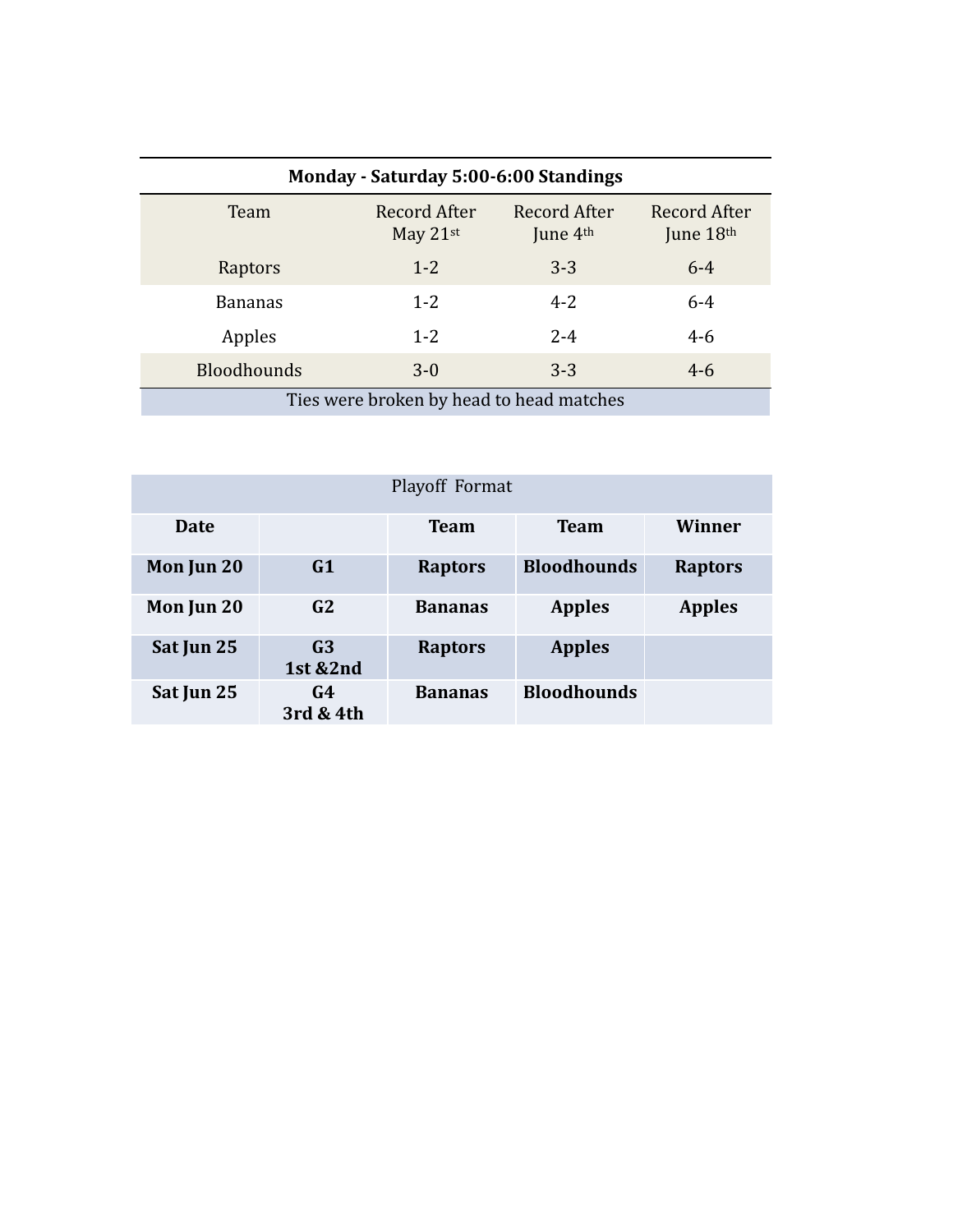| Monday - Saturday 5:00-6:00 Standings    |                          |                            |                             |  |  |
|------------------------------------------|--------------------------|----------------------------|-----------------------------|--|--|
| Team                                     | Record After<br>May 21st | Record After<br>June $4th$ | Record After<br>June $18th$ |  |  |
| Raptors                                  | $1 - 2$                  | $3 - 3$                    | $6 - 4$                     |  |  |
| <b>Bananas</b>                           | $1 - 2$                  | $4 - 2$                    | $6 - 4$                     |  |  |
| Apples                                   | $1 - 2$                  | $2 - 4$                    | $4 - 6$                     |  |  |
| <b>Bloodhounds</b>                       | $3-0$                    | $3 - 3$                    | $4 - 6$                     |  |  |
| Ties were broken by head to head matches |                          |                            |                             |  |  |

| Playoff Format |                                       |                |                    |                |  |
|----------------|---------------------------------------|----------------|--------------------|----------------|--|
| Date           |                                       | <b>Team</b>    | <b>Team</b>        | Winner         |  |
| Mon Jun 20     | G1                                    | <b>Raptors</b> | <b>Bloodhounds</b> | <b>Raptors</b> |  |
| Mon Jun 20     | G2                                    | <b>Bananas</b> | <b>Apples</b>      | <b>Apples</b>  |  |
| Sat Jun 25     | G <sub>3</sub><br><b>1st &amp;2nd</b> | <b>Raptors</b> | <b>Apples</b>      |                |  |
| Sat Jun 25     | G4<br>3rd & 4th                       | <b>Bananas</b> | <b>Bloodhounds</b> |                |  |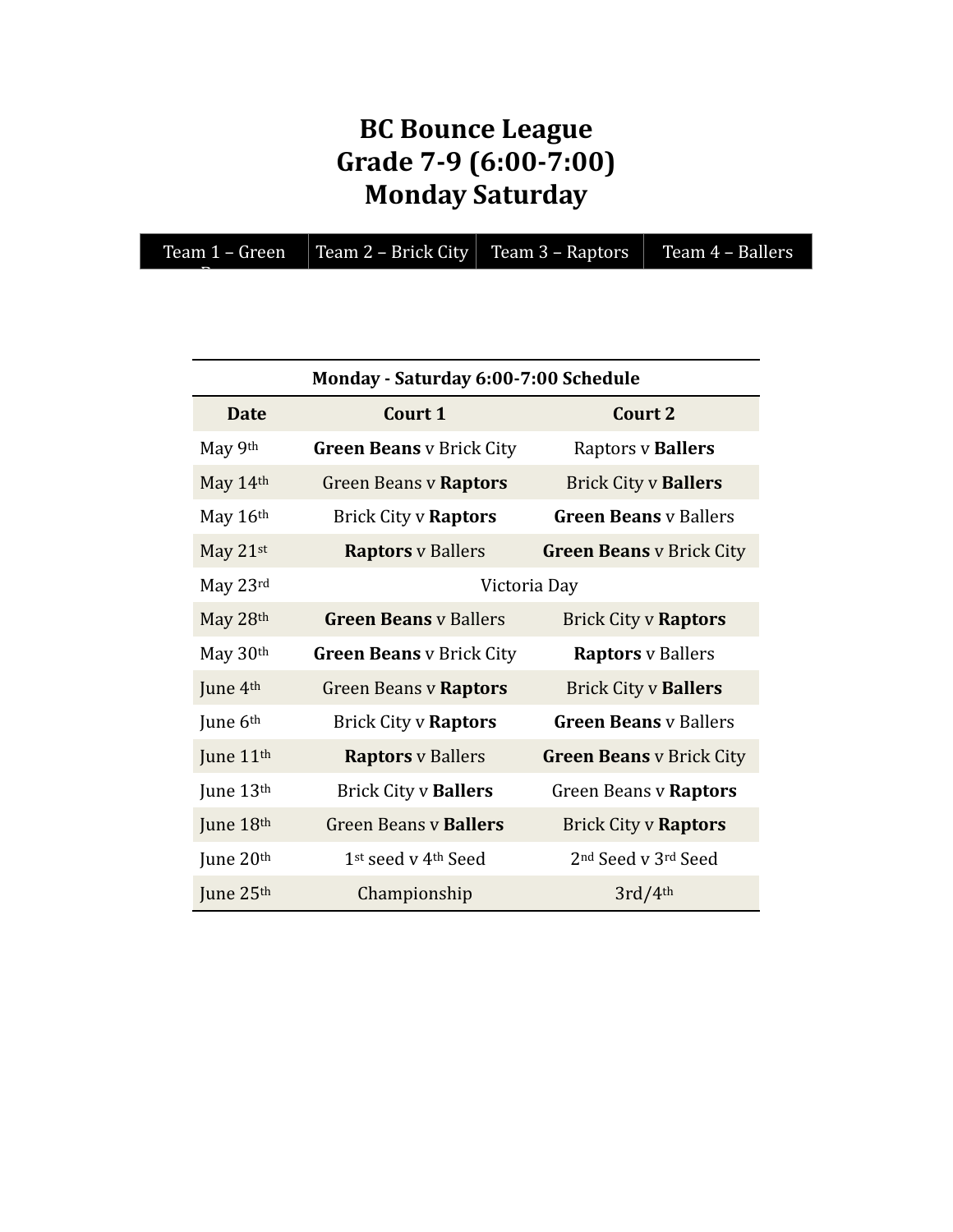# **BC** Bounce League **Grade 7-9 (6:00-7:00) Monday Saturday**

|  | Team 1 – Green | Team 2 – Brick City   Team 3 – Raptors   Team 4 – Ballers |  |  |
|--|----------------|-----------------------------------------------------------|--|--|
|--|----------------|-----------------------------------------------------------|--|--|

Beans

| Monday - Saturday 6:00-7:00 Schedule |                                             |                                             |  |  |
|--------------------------------------|---------------------------------------------|---------------------------------------------|--|--|
| <b>Date</b>                          | Court 1                                     | Court 2                                     |  |  |
| May 9th                              | <b>Green Beans</b> v Brick City             | Raptors v Ballers                           |  |  |
| May 14th                             | <b>Green Beans v Raptors</b>                | <b>Brick City v Ballers</b>                 |  |  |
| May 16th                             | <b>Brick City v Raptors</b>                 | <b>Green Beans</b> v Ballers                |  |  |
| May $21$ <sup>st</sup>               | <b>Raptors</b> v Ballers                    | <b>Green Beans</b> v Brick City             |  |  |
| May 23rd                             |                                             | Victoria Day                                |  |  |
| May 28th                             | <b>Green Beans v Ballers</b>                | <b>Brick City v Raptors</b>                 |  |  |
| May 30th                             | <b>Green Beans</b> v Brick City             | <b>Raptors</b> v Ballers                    |  |  |
| June 4th                             | <b>Green Beans v Raptors</b>                | <b>Brick City v Ballers</b>                 |  |  |
| June 6th                             | <b>Brick City v Raptors</b>                 | <b>Green Beans</b> v Ballers                |  |  |
| June 11 <sup>th</sup>                | <b>Raptors</b> v Ballers                    | <b>Green Beans v Brick City</b>             |  |  |
| June 13th                            | <b>Brick City v Ballers</b>                 | <b>Green Beans v Raptors</b>                |  |  |
| June 18th                            | <b>Green Beans v Ballers</b>                | <b>Brick City v Raptors</b>                 |  |  |
| June $20th$                          | 1 <sup>st</sup> seed v 4 <sup>th</sup> Seed | 2 <sup>nd</sup> Seed v 3 <sup>rd</sup> Seed |  |  |
| June 25th                            | Championship                                | 3rd/4th                                     |  |  |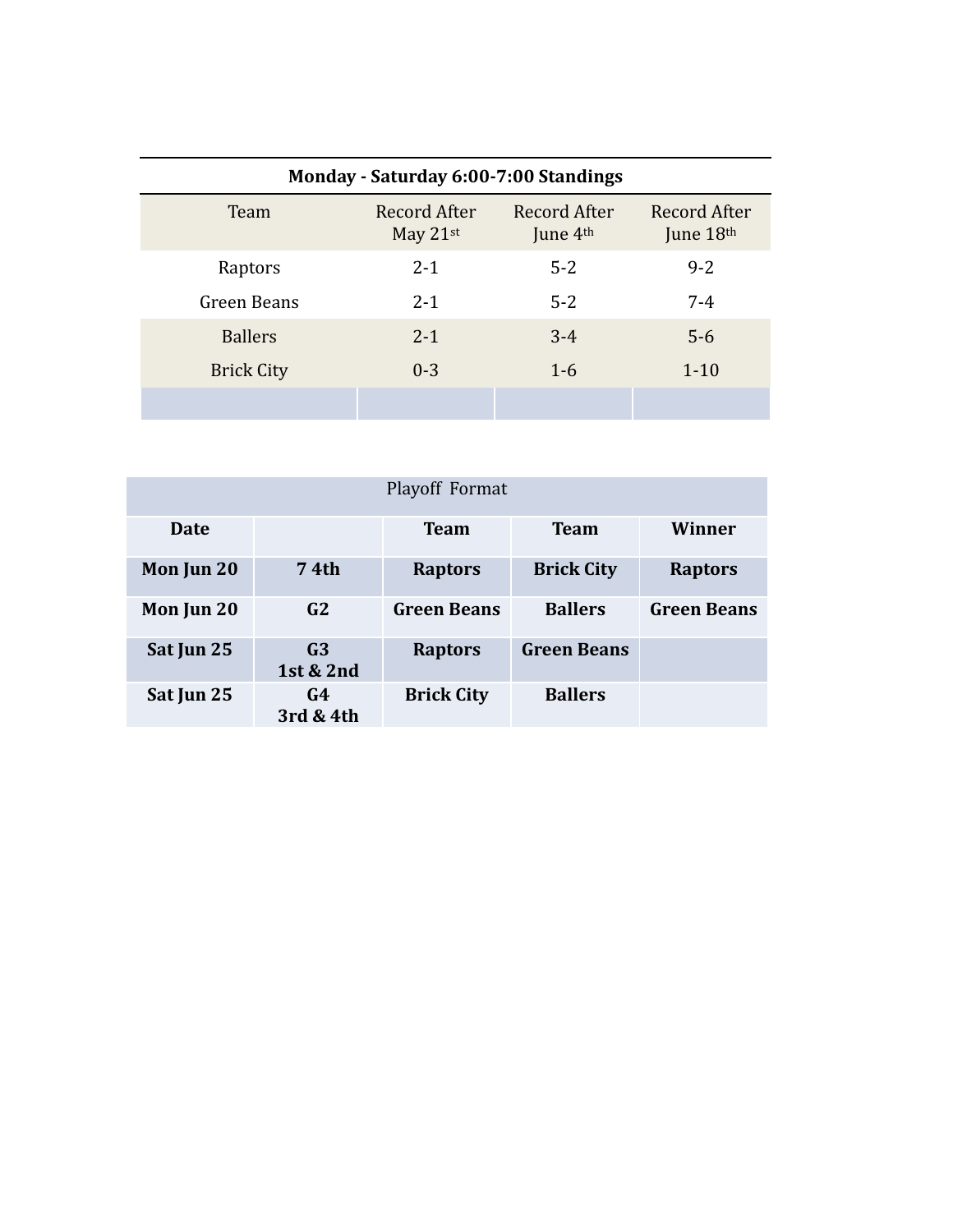| Monday - Saturday 6:00-7:00 Standings |                                        |                            |                           |  |  |
|---------------------------------------|----------------------------------------|----------------------------|---------------------------|--|--|
| Team                                  | Record After<br>May $21$ <sup>st</sup> | Record After<br>June $4th$ | Record After<br>June 18th |  |  |
| Raptors                               | $2 - 1$                                | $5 - 2$                    | $9 - 2$                   |  |  |
| Green Beans                           | $2 - 1$                                | $5 - 2$                    | $7 - 4$                   |  |  |
| <b>Ballers</b>                        | $2 - 1$                                | $3 - 4$                    | $5-6$                     |  |  |
| <b>Brick City</b>                     | $0 - 3$                                | $1-6$                      | $1 - 10$                  |  |  |
|                                       |                                        |                            |                           |  |  |

| Playoff Format |                             |                    |                    |                    |  |  |
|----------------|-----------------------------|--------------------|--------------------|--------------------|--|--|
| Date           |                             | <b>Team</b>        | <b>Team</b>        | Winner             |  |  |
| Mon Jun 20     | 74th                        | <b>Raptors</b>     | <b>Brick City</b>  | <b>Raptors</b>     |  |  |
| Mon Jun 20     | G2                          | <b>Green Beans</b> | <b>Ballers</b>     | <b>Green Beans</b> |  |  |
| Sat Jun 25     | G <sub>3</sub><br>1st & 2nd | <b>Raptors</b>     | <b>Green Beans</b> |                    |  |  |
| Sat Jun 25     | G4<br>3rd & 4th             | <b>Brick City</b>  | <b>Ballers</b>     |                    |  |  |